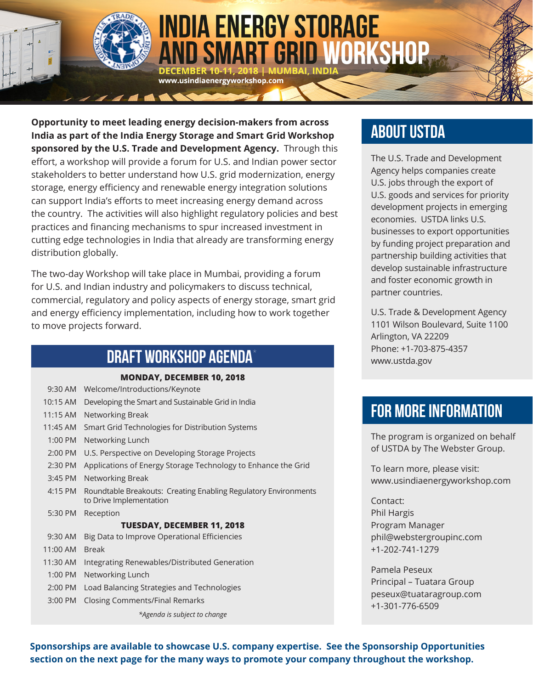

# **INDIA ENERGY STORAGE** D SMART GRID WORKSHOP

**Opportunity to meet leading energy decision-makers from across India as part of the India Energy Storage and Smart Grid Workshop sponsored by the U.S. Trade and Development Agency.** Through this effort, a workshop will provide a forum for U.S. and Indian power sector stakeholders to better understand how U.S. grid modernization, energy storage, energy efficiency and renewable energy integration solutions can support India's efforts to meet increasing energy demand across the country. The activities will also highlight regulatory policies and best practices and financing mechanisms to spur increased investment in cutting edge technologies in India that already are transforming energy distribution globally.

www.usindiaenergyworkshop.com

The two-day Workshop will take place in Mumbai, providing a forum for U.S. and Indian industry and policymakers to discuss technical, commercial, regulatory and policy aspects of energy storage, smart grid and energy efficiency implementation, including how to work together to move projects forward.

# DRAFT WORKSHOP AGENDA\*

| <b>MONDAY, DECEMBER 10, 2018</b>  |                                                                                            |
|-----------------------------------|--------------------------------------------------------------------------------------------|
| 9:30 AM                           | Welcome/Introductions/Keynote                                                              |
| 10:15 AM                          | Developing the Smart and Sustainable Grid in India                                         |
| $11:15$ AM                        | Networking Break                                                                           |
| 11:45 AM                          | Smart Grid Technologies for Distribution Systems                                           |
| 1:00 PM                           | Networking Lunch                                                                           |
| 2:00 PM                           | U.S. Perspective on Developing Storage Projects                                            |
| 2:30 PM                           | Applications of Energy Storage Technology to Enhance the Grid                              |
| 3:45 PM                           | Networking Break                                                                           |
| 4:15 PM                           | Roundtable Breakouts: Creating Enabling Regulatory Environments<br>to Drive Implementation |
| 5:30 PM                           | Reception                                                                                  |
| <b>TUESDAY, DECEMBER 11, 2018</b> |                                                                                            |
| 9:30 AM                           | Big Data to Improve Operational Efficiencies                                               |
| 11:00 AM                          | <b>Break</b>                                                                               |
| 11:30 AM                          | Integrating Renewables/Distributed Generation                                              |
| 1:00 PM                           | Networking Lunch                                                                           |
| 2:00 PM                           | Load Balancing Strategies and Technologies                                                 |
| $3:00$ PM                         | Closing Comments/Final Remarks                                                             |
|                                   | *Agenda is subject to change                                                               |

# ABOUT USTDA

The U.S. Trade and Development Agency helps companies create U.S. jobs through the export of U.S. goods and services for priority development projects in emerging economies. USTDA links U.S. businesses to export opportunities by funding project preparation and partnership building activities that develop sustainable infrastructure and foster economic growth in partner countries.

U.S. Trade & Development Agency 1101 Wilson Boulevard, Suite 1100 Arlington, VA 22209 Phone: +1-703-875-4357 [www.ustda.gov](https://www.ustda.gov/)

# FOR MORE INFORMATION

The program is organized on behalf of USTDA by The Webster Group.

To learn more, please visit: [www.usindiaenergyworkshop.com](https://www.usindiaenergyworkshop.com/)

Contact: Phil Hargis Program Manager [phil@webstergroupinc.com](mailto:phil@webstergroupinc.com) +1-202-741-1279

Pamela Peseux Principal – Tuatara Group [peseux@tuataragroup.com](mailto:peseux@tuataragroup.com) +1-301-776-6509

**Sponsorships are available to showcase U.S. company expertise. See the Sponsorship Opportunities section on the next page for the many ways to promote your company throughout the workshop.**